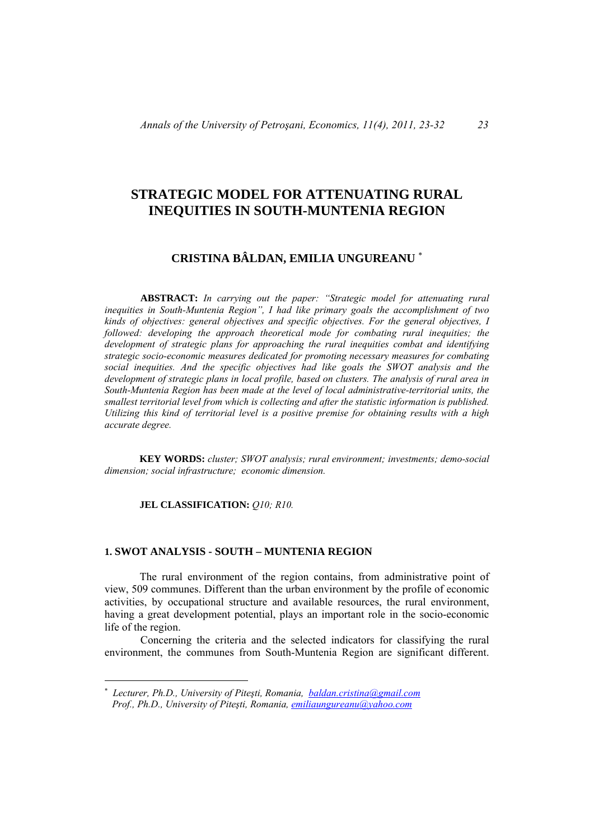# **STRATEGIC MODEL FOR ATTENUATING RURAL INEQUITIES IN SOUTH-MUNTENIA REGION**

# **CRISTINA BÂLDAN, EMILIA UNGUREANU**

**ABSTRACT:** *In carrying out the paper: "Strategic model for attenuating rural inequities in South-Muntenia Region", I had like primary goals the accomplishment of two kinds of objectives: general objectives and specific objectives. For the general objectives, I followed: developing the approach theoretical mode for combating rural inequities; the development of strategic plans for approaching the rural inequities combat and identifying strategic socio-economic measures dedicated for promoting necessary measures for combating social inequities. And the specific objectives had like goals the SWOT analysis and the development of strategic plans in local profile, based on clusters. The analysis of rural area in South-Muntenia Region has been made at the level of local administrative-territorial units, the smallest territorial level from which is collecting and after the statistic information is published. Utilizing this kind of territorial level is a positive premise for obtaining results with a high accurate degree.* 

**KEY WORDS:** *cluster; SWOT analysis; rural environment; investments; demo-social dimension; social infrastructure; economic dimension.* 

#### **JEL CLASSIFICATION:** Q10; R10.

 $\overline{a}$ 

#### **1. SWOT ANALYSIS - SOUTH – MUNTENIA REGION**

The rural environment of the region contains, from administrative point of view, 509 communes. Different than the urban environment by the profile of economic activities, by occupational structure and available resources, the rural environment, having a great development potential, plays an important role in the socio-economic life of the region.

Concerning the criteria and the selected indicators for classifying the rural environment, the communes from South-Muntenia Region are significant different.

*Lecturer, Ph.D., University of Piteşti, Romania, baldan.cristina@gmail.com Prof., Ph.D., University of Piteşti, Romania, emiliaungureanu@yahoo.com*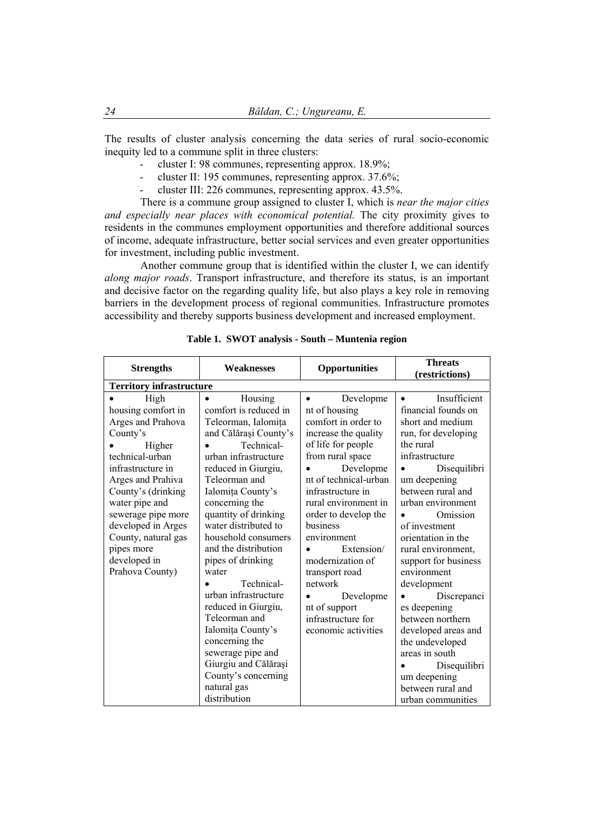The results of cluster analysis concerning the data series of rural socio-economic inequity led to a commune split in three clusters:

- cluster I: 98 communes, representing approx. 18.9%;
- cluster II: 195 communes, representing approx. 37.6%;
- cluster III: 226 communes, representing approx. 43.5%.

There is a commune group assigned to cluster I, which is *near the major cities and especially near places with economical potential.* The city proximity gives to residents in the communes employment opportunities and therefore additional sources of income, adequate infrastructure, better social services and even greater opportunities for investment, including public investment.

Another commune group that is identified within the cluster I, we can identify *along major roads*. Transport infrastructure, and therefore its status, is an important and decisive factor on the regarding quality life, but also plays a key role in removing barriers in the development process of regional communities. Infrastructure promotes accessibility and thereby supports business development and increased employment.

| <b>Strengths</b>                                                                                                                                                                                                                                                                               | <b>Weaknesses</b>                                                                                                                                                                                                                                                                                                                                                                                                                                                                         | <b>Opportunities</b>                                                                                                                                                                                                                                                                                                                                                                                             | <b>Threats</b><br>(restrictions)                                                                                                                                                                                                                                                                                                                                                                                                      |
|------------------------------------------------------------------------------------------------------------------------------------------------------------------------------------------------------------------------------------------------------------------------------------------------|-------------------------------------------------------------------------------------------------------------------------------------------------------------------------------------------------------------------------------------------------------------------------------------------------------------------------------------------------------------------------------------------------------------------------------------------------------------------------------------------|------------------------------------------------------------------------------------------------------------------------------------------------------------------------------------------------------------------------------------------------------------------------------------------------------------------------------------------------------------------------------------------------------------------|---------------------------------------------------------------------------------------------------------------------------------------------------------------------------------------------------------------------------------------------------------------------------------------------------------------------------------------------------------------------------------------------------------------------------------------|
| <b>Territory infrastructure</b>                                                                                                                                                                                                                                                                |                                                                                                                                                                                                                                                                                                                                                                                                                                                                                           |                                                                                                                                                                                                                                                                                                                                                                                                                  |                                                                                                                                                                                                                                                                                                                                                                                                                                       |
| High<br>housing comfort in<br>Arges and Prahova<br>County's<br>Higher<br>technical-urban<br>infrastructure in<br>Arges and Prahiva<br>County's (drinking<br>water pipe and<br>sewerage pipe more<br>developed in Arges<br>County, natural gas<br>pipes more<br>developed in<br>Prahova County) | Housing<br>$\bullet$<br>comfort is reduced in<br>Teleorman, Ialomița<br>and Călărași County's<br>Technical-<br>urban infrastructure<br>reduced in Giurgiu,<br>Teleorman and<br>Ialomița County's<br>concerning the<br>quantity of drinking<br>water distributed to<br>household consumers<br>and the distribution<br>pipes of drinking<br>water<br>Technical-<br>urban infrastructure<br>reduced in Giurgiu,<br>Teleorman and<br>Ialomița County's<br>concerning the<br>sewerage pipe and | Developme<br>$\bullet$<br>nt of housing<br>comfort in order to<br>increase the quality<br>of life for people<br>from rural space<br>Developme<br>nt of technical-urban<br>infrastructure in<br>rural environment in<br>order to develop the<br>business<br>environment<br>Extension/<br>modernization of<br>transport road<br>network<br>Developme<br>nt of support<br>infrastructure for<br>economic activities | Insufficient<br>financial founds on<br>short and medium<br>run, for developing<br>the rural<br>infrastructure<br>Disequilibri<br>um deepening<br>between rural and<br>urban environment<br>Omission<br>of investment<br>orientation in the<br>rural environment,<br>support for business<br>environment<br>development<br>Discrepanci<br>es deepening<br>between northern<br>developed areas and<br>the undeveloped<br>areas in south |
|                                                                                                                                                                                                                                                                                                | Giurgiu and Călărași                                                                                                                                                                                                                                                                                                                                                                                                                                                                      |                                                                                                                                                                                                                                                                                                                                                                                                                  | Disequilibri                                                                                                                                                                                                                                                                                                                                                                                                                          |
|                                                                                                                                                                                                                                                                                                |                                                                                                                                                                                                                                                                                                                                                                                                                                                                                           |                                                                                                                                                                                                                                                                                                                                                                                                                  |                                                                                                                                                                                                                                                                                                                                                                                                                                       |
|                                                                                                                                                                                                                                                                                                | County's concerning<br>natural gas                                                                                                                                                                                                                                                                                                                                                                                                                                                        |                                                                                                                                                                                                                                                                                                                                                                                                                  | um deepening                                                                                                                                                                                                                                                                                                                                                                                                                          |
|                                                                                                                                                                                                                                                                                                | distribution                                                                                                                                                                                                                                                                                                                                                                                                                                                                              |                                                                                                                                                                                                                                                                                                                                                                                                                  | between rural and<br>urban communities                                                                                                                                                                                                                                                                                                                                                                                                |

| Table 1. SWOT analysis - South - Muntenia region |  |  |  |  |  |  |
|--------------------------------------------------|--|--|--|--|--|--|
|--------------------------------------------------|--|--|--|--|--|--|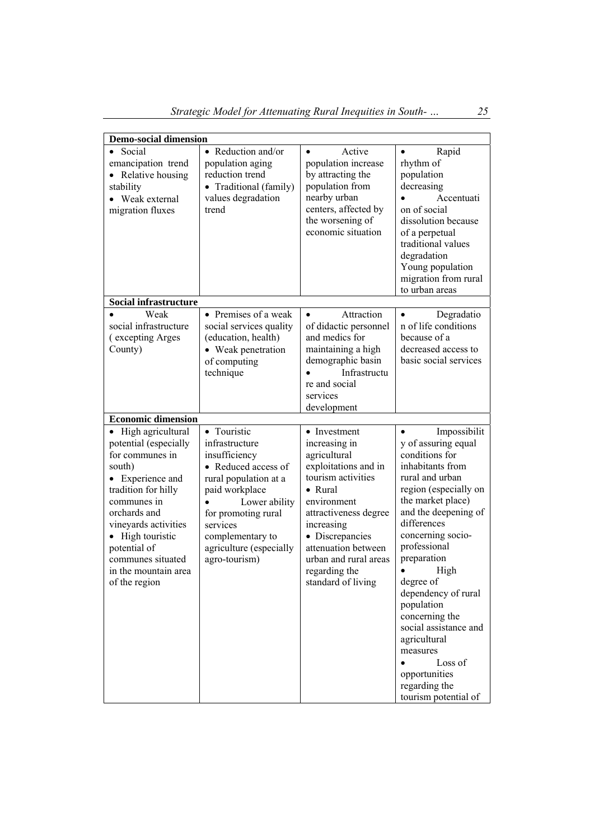| <b>Demo-social dimension</b>                                                                                                                                                                                                                                                         |                                                                                                                                                                                                                                      |                                                                                                                                                                                                                                                                                |                                                                                                                                                                                                                                                                                                                                                                                                                                                          |
|--------------------------------------------------------------------------------------------------------------------------------------------------------------------------------------------------------------------------------------------------------------------------------------|--------------------------------------------------------------------------------------------------------------------------------------------------------------------------------------------------------------------------------------|--------------------------------------------------------------------------------------------------------------------------------------------------------------------------------------------------------------------------------------------------------------------------------|----------------------------------------------------------------------------------------------------------------------------------------------------------------------------------------------------------------------------------------------------------------------------------------------------------------------------------------------------------------------------------------------------------------------------------------------------------|
| Social<br>$\bullet$<br>emancipation trend<br>Relative housing<br>stability<br>Weak external<br>migration fluxes                                                                                                                                                                      | • Reduction and/or<br>population aging<br>reduction trend<br>• Traditional (family)<br>values degradation<br>trend                                                                                                                   | Active<br>$\bullet$<br>population increase<br>by attracting the<br>population from<br>nearby urban<br>centers, affected by<br>the worsening of<br>economic situation                                                                                                           | Rapid<br>rhythm of<br>population<br>decreasing<br>Accentuati<br>on of social<br>dissolution because<br>of a perpetual<br>traditional values<br>degradation<br>Young population<br>migration from rural<br>to urban areas                                                                                                                                                                                                                                 |
| <b>Social infrastructure</b>                                                                                                                                                                                                                                                         |                                                                                                                                                                                                                                      |                                                                                                                                                                                                                                                                                |                                                                                                                                                                                                                                                                                                                                                                                                                                                          |
| Weak<br>social infrastructure<br>(excepting Arges<br>County)                                                                                                                                                                                                                         | • Premises of a weak<br>social services quality<br>(education, health)<br>• Weak penetration<br>of computing<br>technique                                                                                                            | Attraction<br>$\bullet$<br>of didactic personnel<br>and medics for<br>maintaining a high<br>demographic basin<br>Infrastructu<br>re and social<br>services<br>development                                                                                                      | Degradatio<br>n of life conditions<br>because of a<br>decreased access to<br>basic social services                                                                                                                                                                                                                                                                                                                                                       |
| <b>Economic dimension</b>                                                                                                                                                                                                                                                            |                                                                                                                                                                                                                                      |                                                                                                                                                                                                                                                                                |                                                                                                                                                                                                                                                                                                                                                                                                                                                          |
| High agricultural<br>$\bullet$<br>potential (especially<br>for communes in<br>south)<br>Experience and<br>tradition for hilly<br>communes in<br>orchards and<br>vineyards activities<br>High touristic<br>potential of<br>communes situated<br>in the mountain area<br>of the region | • Touristic<br>infrastructure<br>insufficiency<br>• Reduced access of<br>rural population at a<br>paid workplace<br>Lower ability<br>for promoting rural<br>services<br>complementary to<br>agriculture (especially<br>agro-tourism) | • Investment<br>increasing in<br>agricultural<br>exploitations and in<br>tourism activities<br>$\bullet$ Rural<br>environment<br>attractiveness degree<br>increasing<br>• Discrepancies<br>attenuation between<br>urban and rural areas<br>regarding the<br>standard of living | Impossibilit<br>y of assuring equal<br>conditions for<br>inhabitants from<br>rural and urban<br>region (especially on<br>the market place)<br>and the deepening of<br>differences<br>concerning socio-<br>professional<br>preparation<br>High<br>$\bullet$<br>degree of<br>dependency of rural<br>population<br>concerning the<br>social assistance and<br>agricultural<br>measures<br>Loss of<br>opportunities<br>regarding the<br>tourism potential of |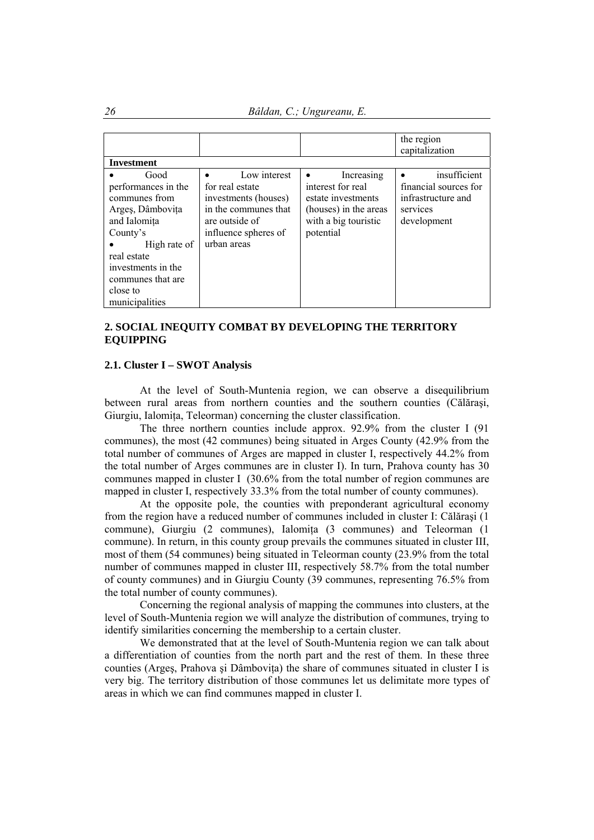*26 Bâldan, C.; Ungureanu, E.* 

|                                                                                                                                                                                                      |                                                                                                                                          |                                                                                                                     | the region<br>capitalization                                                           |
|------------------------------------------------------------------------------------------------------------------------------------------------------------------------------------------------------|------------------------------------------------------------------------------------------------------------------------------------------|---------------------------------------------------------------------------------------------------------------------|----------------------------------------------------------------------------------------|
| <b>Investment</b>                                                                                                                                                                                    |                                                                                                                                          |                                                                                                                     |                                                                                        |
| Good<br>performances in the<br>communes from<br>Arges, Dâmbovița<br>and Ialomita<br>County's<br>High rate of<br>real estate<br>investments in the<br>communes that are<br>close to<br>municipalities | Low interest<br>for real estate<br>investments (houses)<br>in the communes that<br>are outside of<br>influence spheres of<br>urban areas | Increasing<br>interest for real<br>estate investments<br>(houses) in the areas<br>with a big touristic<br>potential | insufficient<br>financial sources for<br>infrastructure and<br>services<br>development |

# **2. SOCIAL INEQUITY COMBAT BY DEVELOPING THE TERRITORY EQUIPPING**

#### **2.1. Cluster I – SWOT Analysis**

At the level of South-Muntenia region, we can observe a disequilibrium between rural areas from northern counties and the southern counties (Călăraşi, Giurgiu, Ialomita, Teleorman) concerning the cluster classification.

The three northern counties include approx. 92.9% from the cluster I (91 communes), the most (42 communes) being situated in Arges County (42.9% from the total number of communes of Arges are mapped in cluster I, respectively 44.2% from the total number of Arges communes are in cluster I). In turn, Prahova county has 30 communes mapped in cluster I (30.6% from the total number of region communes are mapped in cluster I, respectively 33.3% from the total number of county communes).

At the opposite pole, the counties with preponderant agricultural economy from the region have a reduced number of communes included in cluster I: Călăraşi (1 commune), Giurgiu (2 communes), Ialomita (3 communes) and Teleorman (1 commune). In return, in this county group prevails the communes situated in cluster III, most of them (54 communes) being situated in Teleorman county (23.9% from the total number of communes mapped in cluster III, respectively 58.7% from the total number of county communes) and in Giurgiu County (39 communes, representing 76.5% from the total number of county communes).

Concerning the regional analysis of mapping the communes into clusters, at the level of South-Muntenia region we will analyze the distribution of communes, trying to identify similarities concerning the membership to a certain cluster.

We demonstrated that at the level of South-Muntenia region we can talk about a differentiation of counties from the north part and the rest of them. In these three counties (Argeş, Prahova şi Dâmboviţa) the share of communes situated in cluster I is very big. The territory distribution of those communes let us delimitate more types of areas in which we can find communes mapped in cluster I.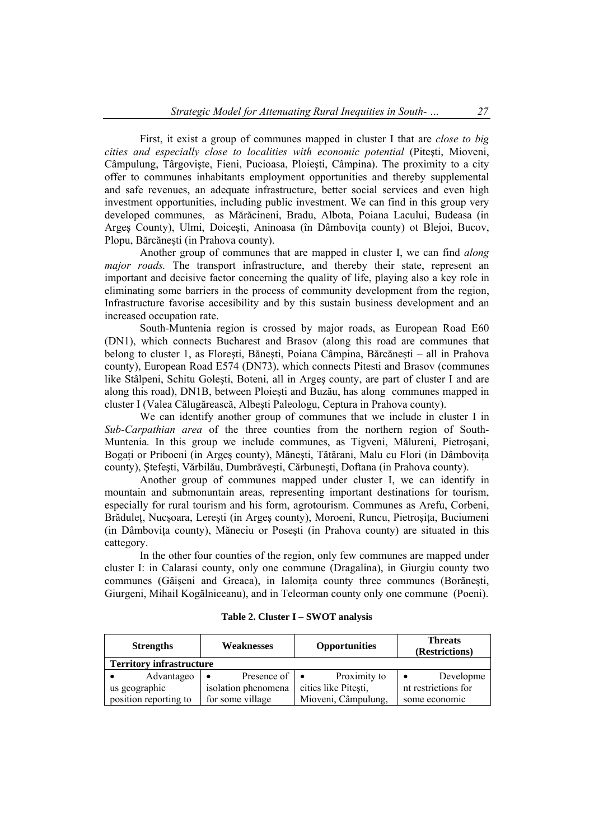First, it exist a group of communes mapped in cluster I that are *close to big cities and especially close to localities with economic potential* (Piteşti, Mioveni, Câmpulung, Târgovişte, Fieni, Pucioasa, Ploieşti, Câmpina). The proximity to a city offer to communes inhabitants employment opportunities and thereby supplemental and safe revenues, an adequate infrastructure, better social services and even high investment opportunities, including public investment. We can find in this group very developed communes, as Mărăcineni, Bradu, Albota, Poiana Lacului, Budeasa (in Arges County), Ulmi, Doicești, Aninoasa (în Dâmbovița county) ot Blejoi, Bucov, Plopu, Bărcăneşti (in Prahova county).

Another group of communes that are mapped in cluster I, we can find *along major roads.* The transport infrastructure, and thereby their state, represent an important and decisive factor concerning the quality of life, playing also a key role in eliminating some barriers in the process of community development from the region, Infrastructure favorise accesibility and by this sustain business development and an increased occupation rate.

South-Muntenia region is crossed by major roads, as European Road E60 (DN1), which connects Bucharest and Brasov (along this road are communes that belong to cluster 1, as Floreşti, Băneşti, Poiana Câmpina, Bărcăneşti – all in Prahova county), European Road E574 (DN73), which connects Pitesti and Brasov (communes like Stâlpeni, Schitu Goleşti, Boteni, all in Argeş county, are part of cluster I and are along this road), DN1B, between Ploieşti and Buzău, has along communes mapped in cluster I (Valea Călugărească, Albeşti Paleologu, Ceptura in Prahova county).

We can identify another group of communes that we include in cluster I in *Sub-Carpathian area* of the three counties from the northern region of South-Muntenia. In this group we include communes, as Tigveni, Mălureni, Pietroşani, Bogați or Priboeni (in Arges county), Mănești, Tătărani, Malu cu Flori (in Dâmbovița county), Ştefeşti, Vărbilău, Dumbrăveşti, Cărbuneşti, Doftana (in Prahova county).

Another group of communes mapped under cluster I, we can identify in mountain and submonuntain areas, representing important destinations for tourism, especially for rural tourism and his form, agrotourism. Communes as Arefu, Corbeni, Brădulet, Nucsoara, Lerești (in Arges county), Moroeni, Runcu, Pietrosita, Buciumeni (in Dâmbovita county), Măneciu or Posesti (in Prahova county) are situated in this cattegory.

In the other four counties of the region, only few communes are mapped under cluster I: in Calarasi county, only one commune (Dragalina), in Giurgiu county two communes (Găișeni and Greaca), in Ialomita county three communes (Borănești, Giurgeni, Mihail Kogălniceanu), and in Teleorman county only one commune (Poeni).

| Table 2. Cluster I - SWOT analysis |  |  |  |  |  |  |  |
|------------------------------------|--|--|--|--|--|--|--|
|------------------------------------|--|--|--|--|--|--|--|

| <b>Strengths</b>                | Weaknesses                         | <b>Opportunities</b> | <b>Threats</b><br>(Restrictions) |
|---------------------------------|------------------------------------|----------------------|----------------------------------|
| <b>Territory infrastructure</b> |                                    |                      |                                  |
| Advantageo                      | Presence of $\bullet$<br>$\bullet$ | Proximity to         | Developme                        |
| us geographic                   | isolation phenomena                | cities like Pitesti, | nt restrictions for              |
| position reporting to           | for some village                   | Mioveni, Câmpulung,  | some economic                    |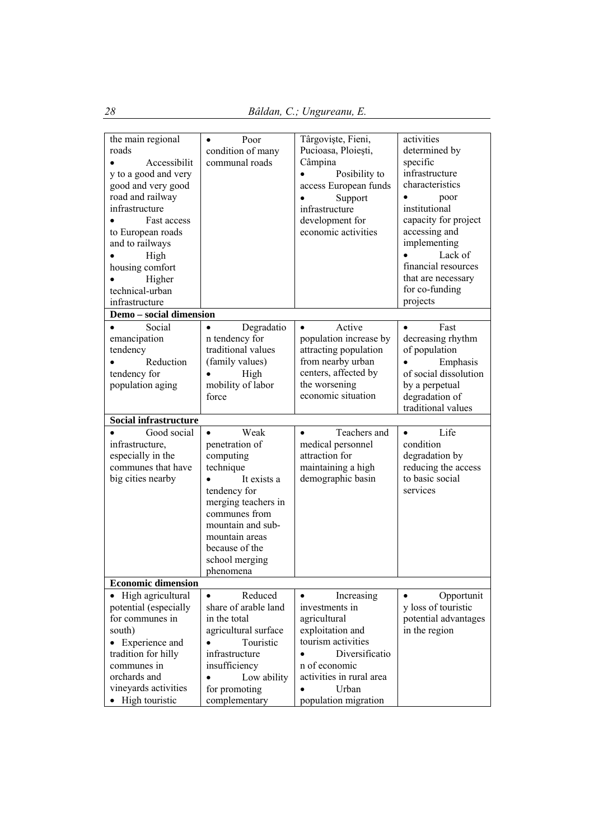| the main regional                        | Poor<br>$\bullet$              | Târgoviște, Fieni,            | activities              |
|------------------------------------------|--------------------------------|-------------------------------|-------------------------|
| roads                                    | condition of many              | Pucioasa, Ploiești,           | determined by           |
| Accessibilit                             | communal roads                 | Câmpina                       | specific                |
| y to a good and very                     |                                | Posibility to                 | infrastructure          |
| good and very good                       |                                | access European funds         | characteristics         |
| road and railway                         |                                | Support                       | $\bullet$<br>poor       |
| infrastructure                           |                                | infrastructure                | institutional           |
| Fast access                              |                                | development for               | capacity for project    |
| to European roads                        |                                | economic activities           | accessing and           |
| and to railways                          |                                |                               | implementing            |
| High                                     |                                |                               | Lack of                 |
| housing comfort                          |                                |                               | financial resources     |
| Higher                                   |                                |                               | that are necessary      |
| technical-urban                          |                                |                               | for co-funding          |
| infrastructure                           |                                |                               | projects                |
|                                          |                                |                               |                         |
| Demo - social dimension                  |                                |                               |                         |
| Social<br>$\bullet$                      | Degradatio<br>$\bullet$        | Active<br>$\bullet$           | Fast<br>$\bullet$       |
| emancipation                             | n tendency for                 | population increase by        | decreasing rhythm       |
| tendency                                 | traditional values             | attracting population         | of population           |
| Reduction                                | (family values)                | from nearby urban             | Emphasis                |
| tendency for                             | High                           | centers, affected by          | of social dissolution   |
| population aging                         | mobility of labor              | the worsening                 | by a perpetual          |
|                                          | force                          | economic situation            | degradation of          |
| <b>Social infrastructure</b>             |                                |                               | traditional values      |
|                                          |                                |                               |                         |
|                                          |                                |                               |                         |
| Good social                              | Weak<br>$\bullet$              | Teachers and<br>$\bullet$     | Life<br>$\bullet$       |
| infrastructure,                          | penetration of                 | medical personnel             | condition               |
| especially in the                        | computing                      | attraction for                | degradation by          |
| communes that have                       | technique                      | maintaining a high            | reducing the access     |
| big cities nearby                        | It exists a                    | demographic basin             | to basic social         |
|                                          | tendency for                   |                               | services                |
|                                          | merging teachers in            |                               |                         |
|                                          | communes from                  |                               |                         |
|                                          | mountain and sub-              |                               |                         |
|                                          | mountain areas                 |                               |                         |
|                                          | because of the                 |                               |                         |
|                                          | school merging                 |                               |                         |
|                                          | phenomena                      |                               |                         |
| <b>Economic dimension</b>                |                                |                               |                         |
| High agricultural                        | Reduced<br>$\bullet$           | Increasing<br>$\bullet$       | Opportunit<br>$\bullet$ |
| potential (especially                    | share of arable land           | investments in                | y loss of touristic     |
| for communes in                          | in the total                   | agricultural                  | potential advantages    |
| south)                                   | agricultural surface           | exploitation and              | in the region           |
| Experience and                           | Touristic                      | tourism activities            |                         |
| tradition for hilly                      | infrastructure                 | Diversificatio                |                         |
| communes in                              | insufficiency                  | n of economic                 |                         |
| orchards and                             | Low ability<br>$\bullet$       | activities in rural area      |                         |
| vineyards activities<br>• High touristic | for promoting<br>complementary | Urban<br>population migration |                         |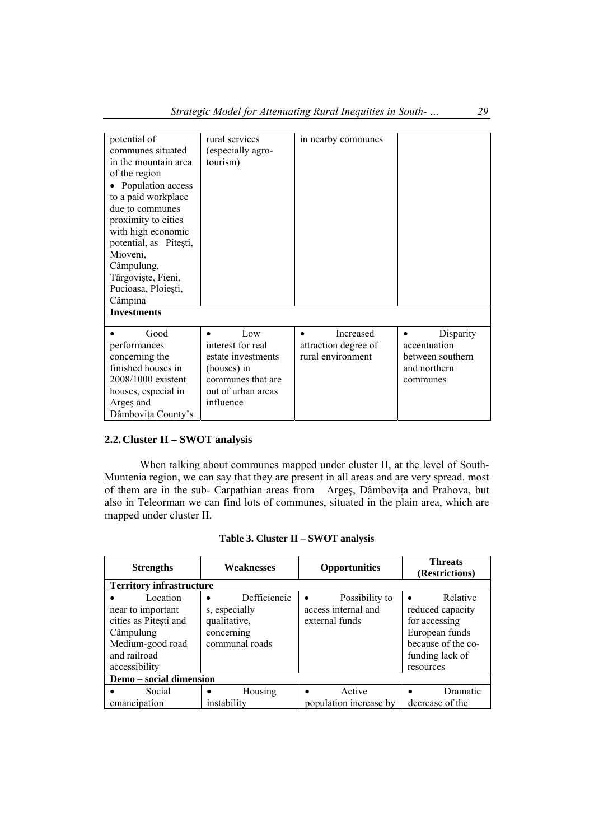| potential of<br>communes situated<br>in the mountain area<br>of the region | rural services<br>especially agro-<br>tourism) | in nearby communes     |                  |
|----------------------------------------------------------------------------|------------------------------------------------|------------------------|------------------|
| Population access<br>to a paid workplace                                   |                                                |                        |                  |
| due to communes<br>proximity to cities                                     |                                                |                        |                  |
| with high economic<br>potential, as Pitești,                               |                                                |                        |                  |
| Mioveni,                                                                   |                                                |                        |                  |
| Câmpulung,<br>Târgoviște, Fieni,                                           |                                                |                        |                  |
| Pucioasa, Ploiești,                                                        |                                                |                        |                  |
| Câmpina                                                                    |                                                |                        |                  |
| <b>Investments</b>                                                         |                                                |                        |                  |
| Good                                                                       | Low                                            | Increased<br>$\bullet$ | Disparity<br>٠   |
| performances                                                               | interest for real                              | attraction degree of   | accentuation     |
| concerning the                                                             | estate investments                             | rural environment      | between southern |
| finished houses in                                                         | (houses) in                                    |                        | and northern     |
| $2008/1000$ existent                                                       | communes that are                              |                        | communes         |
| houses, especial in                                                        | out of urban areas                             |                        |                  |
| Arges and                                                                  | influence                                      |                        |                  |
| Dâmbovița County's                                                         |                                                |                        |                  |

## **2.2.Cluster II – SWOT analysis**

When talking about communes mapped under cluster II, at the level of South-Muntenia region, we can say that they are present in all areas and are very spread. most of them are in the sub- Carpathian areas from Argeş, Dâmboviţa and Prahova, but also in Teleorman we can find lots of communes, situated in the plain area, which are mapped under cluster II.

| <b>Strengths</b>                                                                                                         | Weaknesses                                                                    | <b>Opportunities</b>                                    | <b>Threats</b><br>(Restrictions)                                                                                      |  |  |
|--------------------------------------------------------------------------------------------------------------------------|-------------------------------------------------------------------------------|---------------------------------------------------------|-----------------------------------------------------------------------------------------------------------------------|--|--|
| <b>Territory infrastructure</b>                                                                                          |                                                                               |                                                         |                                                                                                                       |  |  |
| Location<br>near to important<br>cities as Pitești and<br>Câmpulung<br>Medium-good road<br>and railroad<br>accessibility | Defficiencie<br>s, especially<br>qualitative,<br>concerning<br>communal roads | Possibility to<br>access internal and<br>external funds | Relative<br>reduced capacity<br>for accessing<br>European funds<br>because of the co-<br>funding lack of<br>resources |  |  |
| Demo - social dimension                                                                                                  |                                                                               |                                                         |                                                                                                                       |  |  |
| Social<br>emancipation                                                                                                   | Housing<br>$\bullet$<br>instability                                           | Active<br>population increase by                        | Dramatic<br>decrease of the                                                                                           |  |  |

**Table 3. Cluster II – SWOT analysis**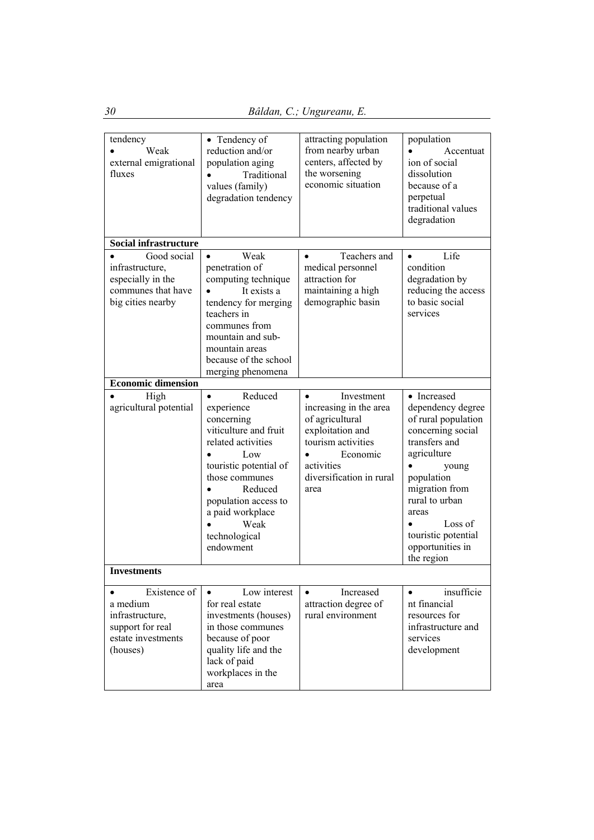| tendency<br>Weak<br>external emigrational<br>fluxes                                               | • Tendency of<br>reduction and/or<br>population aging<br>Traditional<br>values (family)<br>degradation tendency                                                                                                                                 | attracting population<br>from nearby urban<br>centers, affected by<br>the worsening<br>economic situation                                                                    | population<br>Accentuat<br>ion of social<br>dissolution<br>because of a<br>perpetual<br>traditional values<br>degradation                                                                                                                            |
|---------------------------------------------------------------------------------------------------|-------------------------------------------------------------------------------------------------------------------------------------------------------------------------------------------------------------------------------------------------|------------------------------------------------------------------------------------------------------------------------------------------------------------------------------|------------------------------------------------------------------------------------------------------------------------------------------------------------------------------------------------------------------------------------------------------|
| <b>Social infrastructure</b>                                                                      |                                                                                                                                                                                                                                                 |                                                                                                                                                                              |                                                                                                                                                                                                                                                      |
| Good social<br>infrastructure,<br>especially in the<br>communes that have<br>big cities nearby    | Weak<br>penetration of<br>computing technique<br>It exists a<br>tendency for merging<br>teachers in<br>communes from<br>mountain and sub-<br>mountain areas<br>because of the school                                                            | Teachers and<br>medical personnel<br>attraction for<br>maintaining a high<br>demographic basin                                                                               | Life<br>$\bullet$<br>condition<br>degradation by<br>reducing the access<br>to basic social<br>services                                                                                                                                               |
|                                                                                                   | merging phenomena                                                                                                                                                                                                                               |                                                                                                                                                                              |                                                                                                                                                                                                                                                      |
| <b>Economic dimension</b>                                                                         |                                                                                                                                                                                                                                                 |                                                                                                                                                                              |                                                                                                                                                                                                                                                      |
| High<br>agricultural potential<br><b>Investments</b>                                              | Reduced<br>$\bullet$<br>experience<br>concerning<br>viticulture and fruit<br>related activities<br>Low<br>touristic potential of<br>those communes<br>Reduced<br>population access to<br>a paid workplace<br>Weak<br>technological<br>endowment | Investment<br>$\bullet$<br>increasing in the area<br>of agricultural<br>exploitation and<br>tourism activities<br>Economic<br>activities<br>diversification in rural<br>area | • Increased<br>dependency degree<br>of rural population<br>concerning social<br>transfers and<br>agriculture<br>young<br>population<br>migration from<br>rural to urban<br>areas<br>Loss of<br>touristic potential<br>opportunities in<br>the region |
|                                                                                                   |                                                                                                                                                                                                                                                 |                                                                                                                                                                              |                                                                                                                                                                                                                                                      |
| Existence of<br>a medium<br>infrastructure,<br>support for real<br>estate investments<br>(houses) | Low interest<br>$\bullet$<br>for real estate<br>investments (houses)<br>in those communes<br>because of poor<br>quality life and the<br>lack of paid<br>workplaces in the<br>area                                                               | Increased<br>$\bullet$<br>attraction degree of<br>rural environment                                                                                                          | insufficie<br>$\bullet$<br>nt financial<br>resources for<br>infrastructure and<br>services<br>development                                                                                                                                            |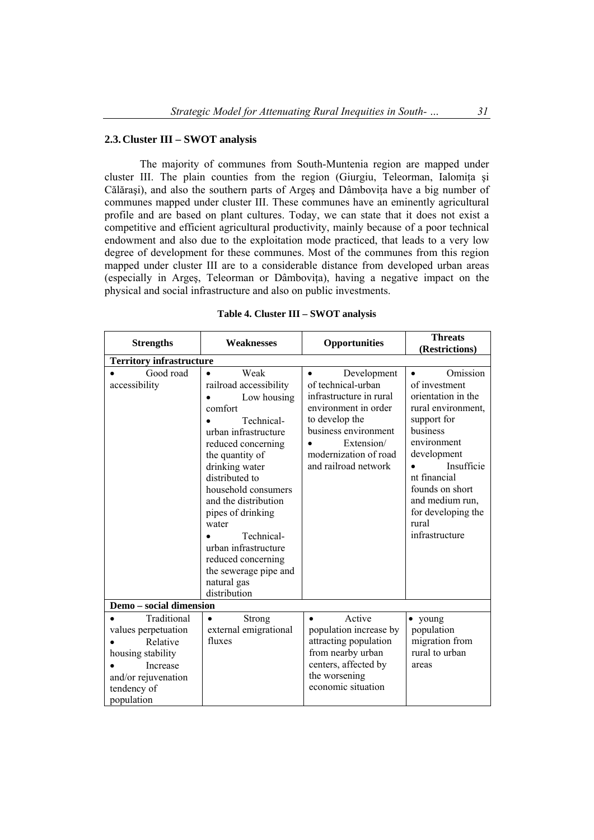## **2.3.Cluster III – SWOT analysis**

The majority of communes from South-Muntenia region are mapped under cluster III. The plain counties from the region (Giurgiu, Teleorman, Ialomita și Călăraşi), and also the southern parts of Argeş and Dâmboviţa have a big number of communes mapped under cluster III. These communes have an eminently agricultural profile and are based on plant cultures. Today, we can state that it does not exist a competitive and efficient agricultural productivity, mainly because of a poor technical endowment and also due to the exploitation mode practiced, that leads to a very low degree of development for these communes. Most of the communes from this region mapped under cluster III are to a considerable distance from developed urban areas (especially in Argeş, Teleorman or Dâmboviţa), having a negative impact on the physical and social infrastructure and also on public investments.

| <b>Strengths</b>                                                                                                                    | <b>Weaknesses</b>                                                                                                                                                                                                                                                                                                                                                                         | Opportunities                                                                                                                                                                                              | <b>Threats</b><br>(Restrictions)                                                                                                                                                                                                                                 |
|-------------------------------------------------------------------------------------------------------------------------------------|-------------------------------------------------------------------------------------------------------------------------------------------------------------------------------------------------------------------------------------------------------------------------------------------------------------------------------------------------------------------------------------------|------------------------------------------------------------------------------------------------------------------------------------------------------------------------------------------------------------|------------------------------------------------------------------------------------------------------------------------------------------------------------------------------------------------------------------------------------------------------------------|
| <b>Territory infrastructure</b>                                                                                                     |                                                                                                                                                                                                                                                                                                                                                                                           |                                                                                                                                                                                                            |                                                                                                                                                                                                                                                                  |
| Good road<br>accessibility                                                                                                          | Weak<br>$\bullet$<br>railroad accessibility<br>Low housing<br>comfort<br>Technical-<br>urban infrastructure<br>reduced concerning<br>the quantity of<br>drinking water<br>distributed to<br>household consumers<br>and the distribution<br>pipes of drinking<br>water<br>Technical-<br>urban infrastructure<br>reduced concerning<br>the sewerage pipe and<br>natural gas<br>distribution | Development<br>$\bullet$<br>of technical-urban<br>infrastructure in rural<br>environment in order<br>to develop the<br>business environment<br>Extension/<br>modernization of road<br>and railroad network | Omission<br>$\bullet$<br>of investment<br>orientation in the<br>rural environment,<br>support for<br>business<br>environment<br>development<br>Insufficie<br>nt financial<br>founds on short<br>and medium run,<br>for developing the<br>rural<br>infrastructure |
| Demo - social dimension                                                                                                             |                                                                                                                                                                                                                                                                                                                                                                                           |                                                                                                                                                                                                            |                                                                                                                                                                                                                                                                  |
| Traditional<br>values perpetuation<br>Relative<br>housing stability<br>Increase<br>and/or rejuvenation<br>tendency of<br>population | <b>Strong</b><br>$\bullet$<br>external emigrational<br>fluxes                                                                                                                                                                                                                                                                                                                             | Active<br>$\bullet$<br>population increase by<br>attracting population<br>from nearby urban<br>centers, affected by<br>the worsening<br>economic situation                                                 | • young<br>population<br>migration from<br>rural to urban<br>areas                                                                                                                                                                                               |

#### **Table 4. Cluster III – SWOT analysis**